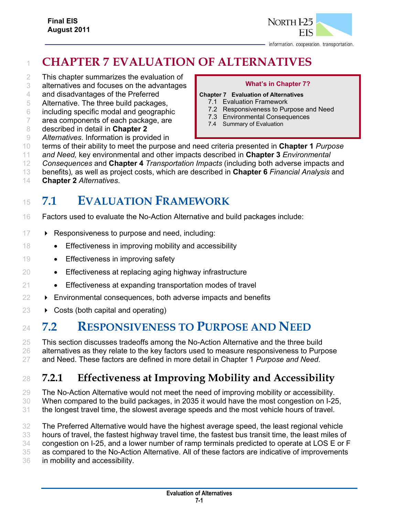

information. cooperation. transportation.

## **CHAPTER 7 EVALUATION OF ALTERNATIVES**

- This chapter summarizes the evaluation of
- alternatives and focuses on the advantages
- and disadvantages of the Preferred
- Alternative. The three build packages,
- including specific modal and geographic
- area components of each package, are
- described in detail in **Chapter 2**
- 

#### **What's in Chapter 7?**

#### **Chapter 7 Evaluation of Alternatives**

- 7.1 Evaluation Framework
- 7.2 Responsiveness to Purpose and Need
- 7.3 Environmental Consequences
- 7.4 Summary of Evaluation
- *Alternatives*. Information is provided in
- terms of their ability to meet the purpose and need criteria presented in **Chapter 1** *Purpose*
- *and Need,* key environmental and other impacts described in **Chapter 3** *Environmental*
- *Consequences* and **Chapter 4** *Transportation Impacts* (including both adverse impacts and
- benefits)*,* as well as project costs, which are described in **Chapter 6** *Financial Analysis* and
- **Chapter 2** *Alternatives*.

# **7.1 EVALUATION FRAMEWORK**

- Factors used to evaluate the No-Action Alternative and build packages include:
- **Responsiveness to purpose and need, including:**
- 18 Effectiveness in improving mobility and accessibility
- 19 Effectiveness in improving safety
- Effectiveness at replacing aging highway infrastructure
- 21 Effectiveness at expanding transportation modes of travel
- **Environmental consequences, both adverse impacts and benefits**
- $23 \rightarrow \text{Costs}$  (both capital and operating)

## **7.2 RESPONSIVENESS TO PURPOSE AND NEED**

 This section discusses tradeoffs among the No-Action Alternative and the three build 26 alternatives as they relate to the key factors used to measure responsiveness to Purpose and Need. These factors are defined in more detail in Chapter 1 *Purpose and Need*.

## **7.2.1 Effectiveness at Improving Mobility and Accessibility**

The No-Action Alternative would not meet the need of improving mobility or accessibility.

- When compared to the build packages, in 2035 it would have the most congestion on I-25,
- the longest travel time, the slowest average speeds and the most vehicle hours of travel.

 The Preferred Alternative would have the highest average speed, the least regional vehicle hours of travel, the fastest highway travel time, the fastest bus transit time, the least miles of congestion on I-25, and a lower number of ramp terminals predicted to operate at LOS E or F as compared to the No-Action Alternative. All of these factors are indicative of improvements in mobility and accessibility.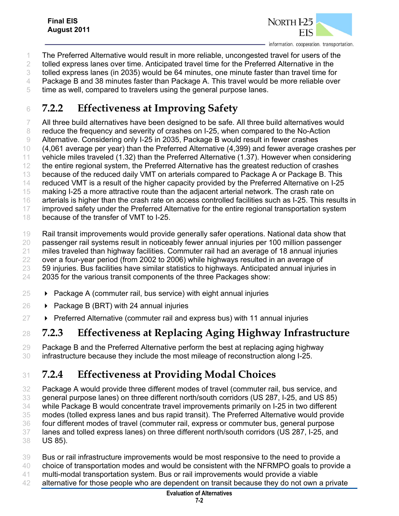

- The Preferred Alternative would result in more reliable, uncongested travel for users of the
- tolled express lanes over time. Anticipated travel time for the Preferred Alternative in the
- tolled express lanes (in 2035) would be 64 minutes, one minute faster than travel time for
- Package B and 38 minutes faster than Package A. This travel would be more reliable over
- time as well, compared to travelers using the general purpose lanes.

## **7.2.2 Effectiveness at Improving Safety**

 All three build alternatives have been designed to be safe. All three build alternatives would reduce the frequency and severity of crashes on I-25, when compared to the No-Action Alternative. Considering only I-25 in 2035, Package B would result in fewer crashes (4,061 average per year) than the Preferred Alternative (4,399) and fewer average crashes per vehicle miles traveled (1.32) than the Preferred Alternative (1.37). However when considering the entire regional system, the Preferred Alternative has the greatest reduction of crashes because of the reduced daily VMT on arterials compared to Package A or Package B. This 14 reduced VMT is a result of the higher capacity provided by the Preferred Alternative on I-25 making I-25 a more attractive route than the adjacent arterial network. The crash rate on arterials is higher than the crash rate on access controlled facilities such as I-25. This results in improved safety under the Preferred Alternative for the entire regional transportation system because of the transfer of VMT to I-25.

 Rail transit improvements would provide generally safer operations. National data show that passenger rail systems result in noticeably fewer annual injuries per 100 million passenger miles traveled than highway facilities. Commuter rail had an average of 18 annual injuries over a four-year period (from 2002 to 2006) while highways resulted in an average of 59 injuries. Bus facilities have similar statistics to highways. Anticipated annual injuries in 2035 for the various transit components of the three Packages show:

- $\rightarrow$  Package A (commuter rail, bus service) with eight annual injuries
- 26  $\rightarrow$  Package B (BRT) with 24 annual injuries
- $27 \rightarrow$  Preferred Alternative (commuter rail and express bus) with 11 annual injuries

#### **7.2.3 Effectiveness at Replacing Aging Highway Infrastructure**

 Package B and the Preferred Alternative perform the best at replacing aging highway infrastructure because they include the most mileage of reconstruction along I-25.

## **7.2.4 Effectiveness at Providing Modal Choices**

 Package A would provide three different modes of travel (commuter rail, bus service, and general purpose lanes) on three different north/south corridors (US 287, I-25, and US 85) while Package B would concentrate travel improvements primarily on I-25 in two different modes (tolled express lanes and bus rapid transit). The Preferred Alternative would provide four different modes of travel (commuter rail, express or commuter bus, general purpose lanes and tolled express lanes) on three different north/south corridors (US 287, I-25, and US 85).

- Bus or rail infrastructure improvements would be most responsive to the need to provide a
- choice of transportation modes and would be consistent with the NFRMPO goals to provide a
- multi-modal transportation system. Bus or rail improvements would provide a viable
- alternative for those people who are dependent on transit because they do not own a private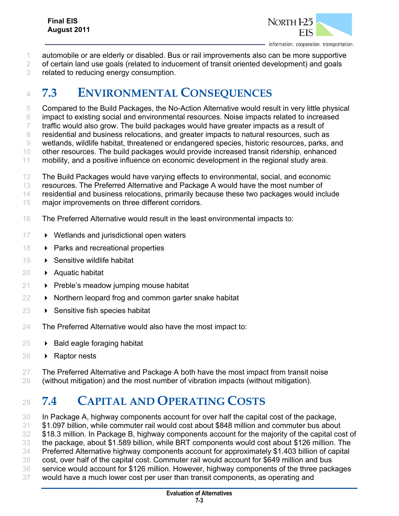

information. cooperation. transportation.

- automobile or are elderly or disabled. Bus or rail improvements also can be more supportive
- of certain land use goals (related to inducement of transit oriented development) and goals
- related to reducing energy consumption.

## **7.3 ENVIRONMENTAL CONSEQUENCES**

Compared to the Build Packages, the No-Action Alternative would result in very little physical

impact to existing social and environmental resources. Noise impacts related to increased

 traffic would also grow. The build packages would have greater impacts as a result of residential and business relocations, and greater impacts to natural resources, such as

wetlands, wildlife habitat, threatened or endangered species, historic resources, parks, and

other resources. The build packages would provide increased transit ridership, enhanced

mobility, and a positive influence on economic development in the regional study area.

- The Build Packages would have varying effects to environmental, social, and economic
- resources. The Preferred Alternative and Package A would have the most number of
- residential and business relocations, primarily because these two packages would include
- major improvements on three different corridors.
- The Preferred Alternative would result in the least environmental impacts to:
- 17 Wetlands and jurisdictional open waters
- **Parks and recreational properties**
- 19 > Sensitive wildlife habitat
- 20 Aquatic habitat
- $21 \rightarrow$  Preble's meadow jumping mouse habitat
- $22 \rightarrow$  Northern leopard frog and common garter snake habitat
- $23 \rightarrow$  Sensitive fish species habitat
- The Preferred Alternative would also have the most impact to:
- $25 \rightarrow$  Bald eagle foraging habitat
- Raptor nests
- 27 The Preferred Alternative and Package A both have the most impact from transit noise (without mitigation) and the most number of vibration impacts (without mitigation).

# **7.4 CAPITAL AND OPERATING COSTS**

 In Package A, highway components account for over half the capital cost of the package, \$1.097 billion, while commuter rail would cost about \$848 million and commuter bus about \$18.3 million. In Package B, highway components account for the majority of the capital cost of the package, about \$1.589 billion, while BRT components would cost about \$126 million. The Preferred Alternative highway components account for approximately \$1.403 billion of capital cost, over half of the capital cost. Commuter rail would account for \$649 million and bus service would account for \$126 million. However, highway components of the three packages would have a much lower cost per user than transit components, as operating and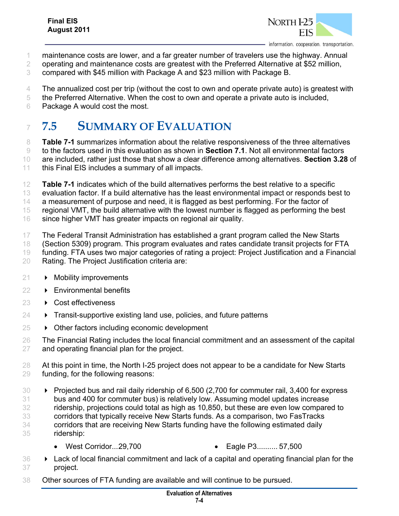

- maintenance costs are lower, and a far greater number of travelers use the highway. Annual
- operating and maintenance costs are greatest with the Preferred Alternative at \$52 million,
- compared with \$45 million with Package A and \$23 million with Package B.
- The annualized cost per trip (without the cost to own and operate private auto) is greatest with
- the Preferred Alternative. When the cost to own and operate a private auto is included,
- Package A would cost the most.

## **7.5 SUMMARY OF EVALUATION**

 **Table 7-1** summarizes information about the relative responsiveness of the three alternatives to the factors used in this evaluation as shown in **Section 7.1**. Not all environmental factors are included, rather just those that show a clear difference among alternatives. **Section 3.28** of 11 this Final EIS includes a summary of all impacts.

- **Table 7-1** indicates which of the build alternatives performs the best relative to a specific
- evaluation factor. If a build alternative has the least environmental impact or responds best to

a measurement of purpose and need, it is flagged as best performing. For the factor of

regional VMT, the build alternative with the lowest number is flagged as performing the best

- since higher VMT has greater impacts on regional air quality.
- The Federal Transit Administration has established a grant program called the New Starts (Section 5309) program. This program evaluates and rates candidate transit projects for FTA
- funding. FTA uses two major categories of rating a project: Project Justification and a Financial Rating. The Project Justification criteria are:
- 21 Mobility improvements
- **Environmental benefits**
- **D** Cost effectiveness
- $24 \rightarrow$  Transit-supportive existing land use, policies, and future patterns
- $25 \rightarrow$  Other factors including economic development
- The Financial Rating includes the local financial commitment and an assessment of the capital and operating financial plan for the project.
- 28 At this point in time, the North I-25 project does not appear to be a candidate for New Starts funding, for the following reasons:
- 30 Projected bus and rail daily ridership of 6,500 (2,700 for commuter rail, 3,400 for express bus and 400 for commuter bus) is relatively low. Assuming model updates increase ridership, projections could total as high as 10,850, but these are even low compared to corridors that typically receive New Starts funds. As a comparison, two FasTracks corridors that are receiving New Starts funding have the following estimated daily ridership:
	- West Corridor... 29,700 Eagle P3 .......... 57,500
		-
- Lack of local financial commitment and lack of a capital and operating financial plan for the project.
- Other sources of FTA funding are available and will continue to be pursued.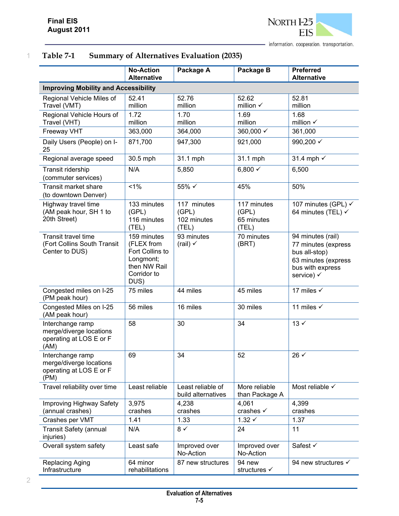

### 1 **Table 7-1 Summary of Alternatives Evaluation (2035)**

|                                                                                | <b>No-Action</b><br><b>Alternative</b>                                                           | Package A                                    | Package B                                   | <b>Preferred</b><br><b>Alternative</b>                                                                             |  |
|--------------------------------------------------------------------------------|--------------------------------------------------------------------------------------------------|----------------------------------------------|---------------------------------------------|--------------------------------------------------------------------------------------------------------------------|--|
| <b>Improving Mobility and Accessibility</b>                                    |                                                                                                  |                                              |                                             |                                                                                                                    |  |
| Regional Vehicle Miles of<br>Travel (VMT)                                      | 52.41<br>million                                                                                 | 52.76<br>million                             | 52.62<br>million $\checkmark$               | 52.81<br>million                                                                                                   |  |
| Regional Vehicle Hours of<br>Travel (VHT)                                      | 1.72<br>million                                                                                  | 1.70<br>million                              | 1.69<br>million                             | 1.68<br>million $\checkmark$                                                                                       |  |
| Freeway VHT                                                                    | 363,000                                                                                          | 364,000                                      | 360,000 $\checkmark$                        | 361,000                                                                                                            |  |
| Daily Users (People) on I-<br>25                                               | 871,700                                                                                          | 947,300                                      | 921,000                                     | 990,200 √                                                                                                          |  |
| Regional average speed                                                         | 30.5 mph                                                                                         | 31.1 mph                                     | 31.1 mph                                    | 31.4 mph √                                                                                                         |  |
| Transit ridership<br>(commuter services)                                       | N/A                                                                                              | 5,850                                        | 6,800 $\checkmark$                          | 6,500                                                                                                              |  |
| <b>Transit market share</b><br>(to downtown Denver)                            | 1%                                                                                               | 55%√                                         | 45%                                         | 50%                                                                                                                |  |
| Highway travel time<br>(AM peak hour, SH 1 to<br>20th Street)                  | 133 minutes<br>(GPL)<br>116 minutes<br>(TEL)                                                     | 117 minutes<br>(GPL)<br>102 minutes<br>(TEL) | 117 minutes<br>(GPL)<br>65 minutes<br>(TEL) | 107 minutes (GPL) √<br>64 minutes (TEL) √                                                                          |  |
| <b>Transit travel time</b><br>(Fort Collins South Transit<br>Center to DUS)    | 159 minutes<br>(FLEX from<br>Fort Collins to<br>Longmont;<br>then NW Rail<br>Corridor to<br>DUS) | 93 minutes<br>(rail) $\checkmark$            | 70 minutes<br>(BRT)                         | 94 minutes (rail)<br>77 minutes (express<br>bus all-stop)<br>63 minutes (express<br>bus with express<br>service) √ |  |
| Congested miles on I-25<br>(PM peak hour)                                      | 75 miles                                                                                         | 44 miles                                     | 45 miles                                    | 17 miles √                                                                                                         |  |
| Congested Miles on I-25<br>(AM peak hour)                                      | 56 miles                                                                                         | 16 miles                                     | 30 miles                                    | 11 miles $\checkmark$                                                                                              |  |
| Interchange ramp<br>merge/diverge locations<br>operating at LOS E or F<br>(AM) | 58                                                                                               | 30                                           | 34                                          | $13 \checkmark$                                                                                                    |  |
| Interchange ramp<br>merge/diverge locations<br>operating at LOS E or F<br>(PM) | 69                                                                                               | 34                                           | 52                                          | $26 \checkmark$                                                                                                    |  |
| Travel reliability over time                                                   | Least reliable                                                                                   | Least reliable of<br>build alternatives      | More reliable<br>than Package A             | Most reliable $\checkmark$                                                                                         |  |
| Improving Highway Safety                                                       | 3,975                                                                                            | 4,238                                        | 4,061                                       | 4,399                                                                                                              |  |
| (annual crashes)                                                               | crashes                                                                                          | crashes                                      | crashes √                                   | crashes                                                                                                            |  |
| Crashes per VMT                                                                | 1.41                                                                                             | 1.33                                         | $1.32 \checkmark$                           | 1.37                                                                                                               |  |
| <b>Transit Safety (annual</b><br>injuries)                                     | N/A                                                                                              | $8 \checkmark$                               | 24                                          | 11                                                                                                                 |  |
| Overall system safety                                                          | Least safe                                                                                       | Improved over<br>No-Action                   | Improved over<br>No-Action                  | Safest √                                                                                                           |  |
| <b>Replacing Aging</b><br>Infrastructure                                       | 64 minor<br>rehabilitations                                                                      | 87 new structures                            | 94 new<br>structures √                      | 94 new structures $\checkmark$                                                                                     |  |

2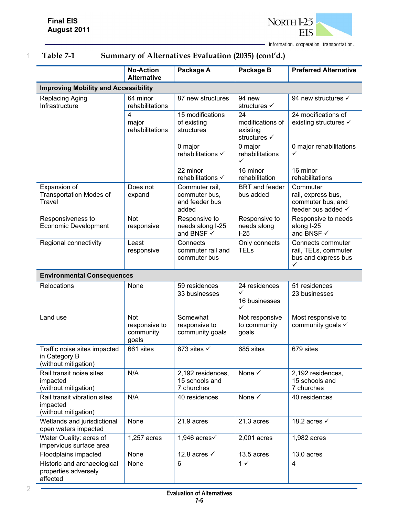

1 **Table 7-1 Summary of Alternatives Evaluation (2035) (cont'd.)** 

|                                                                       | <b>No-Action</b><br><b>Alternative</b>            | Package A                                                  | Package B                                           | <b>Preferred Alternative</b>                                              |
|-----------------------------------------------------------------------|---------------------------------------------------|------------------------------------------------------------|-----------------------------------------------------|---------------------------------------------------------------------------|
| <b>Improving Mobility and Accessibility</b>                           |                                                   |                                                            |                                                     |                                                                           |
| Replacing Aging<br>Infrastructure                                     | 64 minor<br>rehabilitations                       | 87 new structures                                          | 94 new<br>structures √                              | 94 new structures √                                                       |
|                                                                       | 4<br>major<br>rehabilitations                     | 15 modifications<br>of existing<br>structures              | 24<br>modifications of<br>existing<br>structures √  | 24 modifications of<br>existing structures √                              |
|                                                                       |                                                   | 0 major<br>rehabilitations √                               | 0 major<br>rehabilitations<br>✓                     | 0 major rehabilitations<br>✓                                              |
|                                                                       |                                                   | 22 minor<br>rehabilitations √                              | 16 minor<br>rehabilitation                          | 16 minor<br>rehabilitations                                               |
| Expansion of<br><b>Transportation Modes of</b><br>Travel              | Does not<br>expand                                | Commuter rail,<br>commuter bus,<br>and feeder bus<br>added | <b>BRT</b> and feeder<br>bus added                  | Commuter<br>rail, express bus,<br>commuter bus, and<br>feeder bus added √ |
| Responsiveness to<br><b>Economic Development</b>                      | <b>Not</b><br>responsive                          | Responsive to<br>needs along I-25<br>and BNSF ✓            | Responsive to<br>needs along<br>$1-25$              | Responsive to needs<br>along I-25<br>and BNSF √                           |
| Regional connectivity                                                 | Least<br>responsive                               | Connects<br>commuter rail and<br>commuter bus              | Only connects<br><b>TELs</b>                        | Connects commuter<br>rail, TELs, commuter<br>bus and express bus<br>✓     |
| <b>Environmental Consequences</b>                                     |                                                   |                                                            |                                                     |                                                                           |
| Relocations                                                           | None                                              | 59 residences<br>33 businesses                             | 24 residences<br>$\checkmark$<br>16 businesses<br>✓ | 51 residences<br>23 businesses                                            |
| Land use                                                              | <b>Not</b><br>responsive to<br>community<br>goals | Somewhat<br>responsive to<br>community goals               | Not responsive<br>to community<br>goals             | Most responsive to<br>community goals √                                   |
| Traffic noise sites impacted<br>in Category B<br>(without mitigation) | 661 sites                                         | 673 sites $\checkmark$                                     | 685 sites                                           | 679 sites                                                                 |
| Rail transit noise sites<br>impacted<br>(without mitigation)          | N/A                                               | 2,192 residences,<br>15 schools and<br>7 churches          | None √                                              | 2,192 residences,<br>15 schools and<br>7 churches                         |
| Rail transit vibration sites<br>impacted<br>(without mitigation)      | N/A                                               | 40 residences                                              | None $\checkmark$                                   | 40 residences                                                             |
| Wetlands and jurisdictional<br>open waters impacted                   | None                                              | 21.9 acres                                                 | 21.3 acres                                          | 18.2 acres $\checkmark$                                                   |
| Water Quality: acres of<br>impervious surface area                    | 1,257 acres                                       | 1,946 $acres\checkmark$                                    | 2,001 acres                                         | 1,982 acres                                                               |
| Floodplains impacted                                                  | None                                              | 12.8 acres $\checkmark$                                    | 13.5 acres                                          | 13.0 acres                                                                |
| Historic and archaeological<br>properties adversely<br>affected       | None                                              | 6                                                          | $1 \checkmark$                                      | $\overline{4}$                                                            |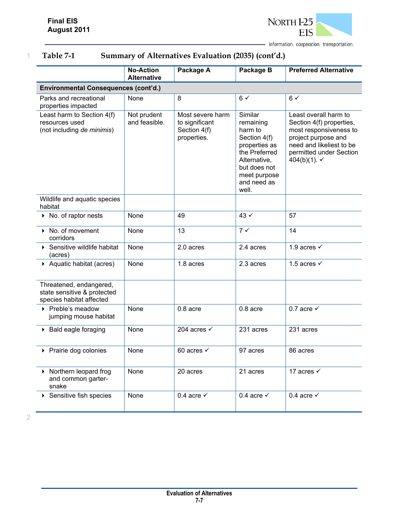

1 **Table 7-1 Summary of Alternatives Evaluation (2035) (cont'd.)** 

|                                                                                    | <b>No-Action</b><br><b>Alternative</b> | Package A                                                         | Package B                                                                                                                                                 | <b>Preferred Alternative</b>                                                                                                                                                         |  |
|------------------------------------------------------------------------------------|----------------------------------------|-------------------------------------------------------------------|-----------------------------------------------------------------------------------------------------------------------------------------------------------|--------------------------------------------------------------------------------------------------------------------------------------------------------------------------------------|--|
| <b>Environmental Consequences (cont'd.)</b>                                        |                                        |                                                                   |                                                                                                                                                           |                                                                                                                                                                                      |  |
| Parks and recreational<br>properties impacted                                      | None                                   | 8                                                                 | $6\checkmark$                                                                                                                                             | $6\checkmark$                                                                                                                                                                        |  |
| Least harm to Section 4(f)<br>resources used<br>(not including de minimis)         | Not prudent<br>and feasible.           | Most severe harm<br>to significant<br>Section 4(f)<br>properties. | Similar<br>remaining<br>harm to<br>Section 4(f)<br>properties as<br>the Preferred<br>Alternative,<br>but does not<br>meet purpose<br>and need as<br>well. | Least overall harm to<br>Section 4(f) properties,<br>most responsiveness to<br>project purpose and<br>need and likeliest to be<br>permitted under Section<br>404(b)(1). $\checkmark$ |  |
| Wildlife and aquatic species<br>habitat                                            |                                        |                                                                   |                                                                                                                                                           |                                                                                                                                                                                      |  |
| $\triangleright$ No. of raptor nests                                               | None                                   | 49                                                                | $43 \checkmark$                                                                                                                                           | 57                                                                                                                                                                                   |  |
| No. of movement<br>corridors                                                       | None                                   | 13                                                                | $7 \checkmark$                                                                                                                                            | 14                                                                                                                                                                                   |  |
| ▶ Sensitive wildlife habitat<br>(acres)                                            | None                                   | 2.0 acres                                                         | 2.4 acres                                                                                                                                                 | 1.9 acres $\checkmark$                                                                                                                                                               |  |
| ▶ Aquatic habitat (acres)                                                          | None                                   | 1.8 acres                                                         | 2.3 acres                                                                                                                                                 | 1.5 acres $\checkmark$                                                                                                                                                               |  |
| Threatened, endangered,<br>state sensitive & protected<br>species habitat affected |                                        |                                                                   |                                                                                                                                                           |                                                                                                                                                                                      |  |
| ▶ Preble's meadow<br>jumping mouse habitat                                         | None                                   | 0.8 acre                                                          | $0.8$ acre                                                                                                                                                | 0.7 acre $\checkmark$                                                                                                                                                                |  |
| ▶ Bald eagle foraging                                                              | None                                   | 204 acres $\checkmark$                                            | 231 acres                                                                                                                                                 | 231 acres                                                                                                                                                                            |  |
| ▶ Prairie dog colonies                                                             | None                                   | 60 acres $\checkmark$                                             | 97 acres                                                                                                                                                  | 86 acres                                                                                                                                                                             |  |
| Northern leopard frog<br>and common garter-<br>snake                               | None                                   | 20 acres                                                          | 21 acres                                                                                                                                                  | 17 acres $\checkmark$                                                                                                                                                                |  |
| Sensitive fish species                                                             | None                                   | 0.4 acre $\checkmark$                                             | 0.4 acre $\checkmark$                                                                                                                                     | 0.4 acre $\checkmark$                                                                                                                                                                |  |